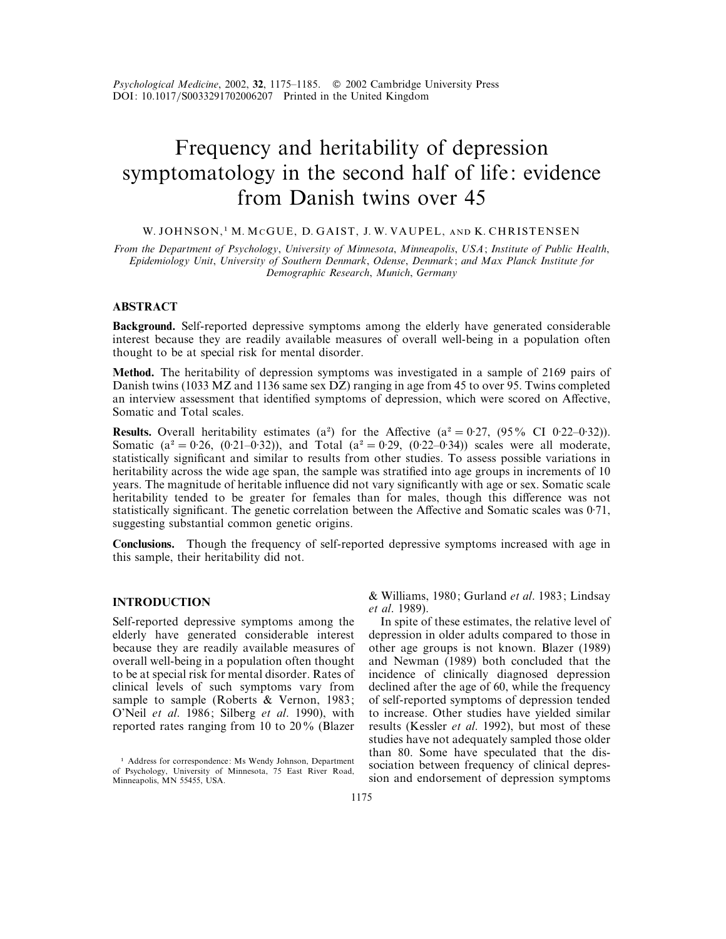*Psychological Medicine*, 2002, **32**, 1175–1185. " 2002 Cambridge University Press DOI: 10.1017/S0033291702006207 Printed in the United Kingdom

# Frequency and heritability of depression symptomatology in the second half of life: evidence from Danish twins over 45

#### W. JOHNSON,<sup>1</sup> M. McGUE, D. GAIST, J. W. VAUPEL, AND K. CHRISTENSEN

*From the Department of Psychology*, *University of Minnesota*, *Minneapolis*, *USA*; *Institute of Public Health*, *Epidemiology Unit*, *University of Southern Denmark*, *Odense*, *Denmark*; *and Max Planck Institute for Demographic Research*, *Munich*, *Germany*

## **ABSTRACT**

**Background.** Self-reported depressive symptoms among the elderly have generated considerable interest because they are readily available measures of overall well-being in a population often thought to be at special risk for mental disorder.

**Method.** The heritability of depression symptoms was investigated in a sample of 2169 pairs of Danish twins (1033 MZ and 1136 same sex DZ) ranging in age from 45 to over 95. Twins completed an interview assessment that identified symptoms of depression, which were scored on Affective, Somatic and Total scales.

**Results.** Overall heritability estimates (a<sup>2</sup>) for the Affective (a<sup>2</sup> = 0.27, (95% CI 0.22–0.32)). Somatic ( $a^2 = 0.26$ , (0.21–0.32)), and Total ( $a^2 = 0.29$ , (0.22–0.34)) scales were all moderate, statistically significant and similar to results from other studies. To assess possible variations in heritability across the wide age span, the sample was stratified into age groups in increments of 10 years. The magnitude of heritable influence did not vary significantly with age or sex. Somatic scale heritability tended to be greater for females than for males, though this difference was not statistically significant. The genetic correlation between the Affective and Somatic scales was  $0.71$ , suggesting substantial common genetic origins.

**Conclusions.** Though the frequency of self-reported depressive symptoms increased with age in this sample, their heritability did not.

## **INTRODUCTION**

Self-reported depressive symptoms among the elderly have generated considerable interest because they are readily available measures of overall well-being in a population often thought to be at special risk for mental disorder. Rates of clinical levels of such symptoms vary from sample to sample (Roberts & Vernon, 1983; O'Neil *et al*. 1986; Silberg *et al*. 1990), with reported rates ranging from 10 to 20% (Blazer

& Williams, 1980; Gurland *et al*. 1983; Lindsay *et al*. 1989).

In spite of these estimates, the relative level of depression in older adults compared to those in other age groups is not known. Blazer (1989) and Newman (1989) both concluded that the incidence of clinically diagnosed depression declined after the age of 60, while the frequency of self-reported symptoms of depression tended to increase. Other studies have yielded similar results (Kessler *et al*. 1992), but most of these studies have not adequately sampled those older than 80. Some have speculated that the dissociation between frequency of clinical depression and endorsement of depression symptoms

<sup>&</sup>lt;sup>1</sup> Address for correspondence: Ms Wendy Johnson, Department of Psychology, University of Minnesota, 75 East River Road, Minneapolis, MN 55455, USA.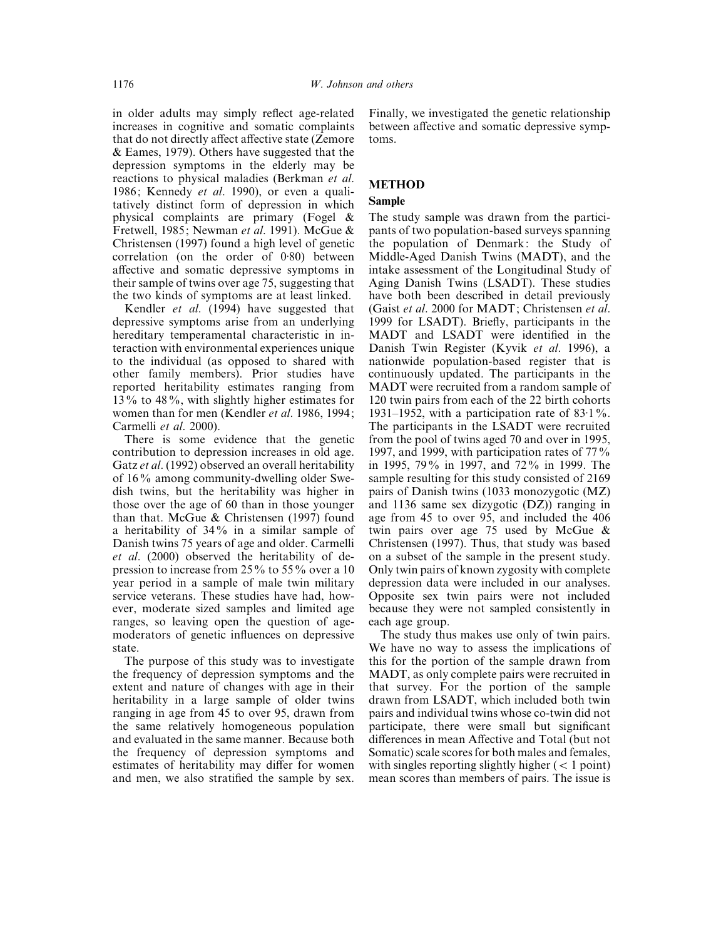in older adults may simply reflect age-related increases in cognitive and somatic complaints that do not directly affect affective state (Zemore & Eames, 1979). Others have suggested that the depression symptoms in the elderly may be reactions to physical maladies (Berkman *et al*. 1986; Kennedy *et al*. 1990), or even a qualitatively distinct form of depression in which physical complaints are primary (Fogel & Fretwell, 1985; Newman *et al*. 1991). McGue & Christensen (1997) found a high level of genetic correlation (on the order of  $0.80$ ) between affective and somatic depressive symptoms in their sample of twins over age 75, suggesting that the two kinds of symptoms are at least linked.

Kendler *et al*. (1994) have suggested that depressive symptoms arise from an underlying hereditary temperamental characteristic in interaction with environmental experiences unique to the individual (as opposed to shared with other family members). Prior studies have reported heritability estimates ranging from 13% to 48%, with slightly higher estimates for women than for men (Kendler *et al*. 1986, 1994; Carmelli *et al*. 2000).

There is some evidence that the genetic contribution to depression increases in old age. Gatz *et al*. (1992) observed an overall heritability of 16% among community-dwelling older Swedish twins, but the heritability was higher in those over the age of 60 than in those younger than that. McGue & Christensen (1997) found a heritability of 34% in a similar sample of Danish twins 75 years of age and older. Carmelli *et al*. (2000) observed the heritability of depression to increase from 25% to 55% over a 10 year period in a sample of male twin military service veterans. These studies have had, however, moderate sized samples and limited age ranges, so leaving open the question of agemoderators of genetic influences on depressive state.

The purpose of this study was to investigate the frequency of depression symptoms and the extent and nature of changes with age in their heritability in a large sample of older twins ranging in age from 45 to over 95, drawn from the same relatively homogeneous population and evaluated in the same manner. Because both the frequency of depression symptoms and estimates of heritability may differ for women and men, we also stratified the sample by sex.

Finally, we investigated the genetic relationship between affective and somatic depressive symptoms.

## **METHOD**

#### **Sample**

The study sample was drawn from the participants of two population-based surveys spanning the population of Denmark: the Study of Middle-Aged Danish Twins (MADT), and the intake assessment of the Longitudinal Study of Aging Danish Twins (LSADT). These studies have both been described in detail previously (Gaist *et al*. 2000 for MADT; Christensen *et al*. 1999 for LSADT). Briefly, participants in the MADT and LSADT were identified in the Danish Twin Register (Kyvik *et al*. 1996), a nationwide population-based register that is continuously updated. The participants in the MADT were recruited from a random sample of 120 twin pairs from each of the 22 birth cohorts 1931–1952, with a participation rate of  $83.1\%$ . The participants in the LSADT were recruited from the pool of twins aged 70 and over in 1995, 1997, and 1999, with participation rates of 77% in 1995, 79% in 1997, and 72% in 1999. The sample resulting for this study consisted of 2169 pairs of Danish twins (1033 monozygotic (MZ) and 1136 same sex dizygotic (DZ)) ranging in age from 45 to over 95, and included the 406 twin pairs over age 75 used by McGue & Christensen (1997). Thus, that study was based on a subset of the sample in the present study. Only twin pairs of known zygosity with complete depression data were included in our analyses. Opposite sex twin pairs were not included because they were not sampled consistently in each age group.

The study thus makes use only of twin pairs. We have no way to assess the implications of this for the portion of the sample drawn from MADT, as only complete pairs were recruited in that survey. For the portion of the sample drawn from LSADT, which included both twin pairs and individual twins whose co-twin did not participate, there were small but significant differences in mean Affective and Total (but not Somatic) scale scores for both males and females, with singles reporting slightly higher  $(< 1$  point) mean scores than members of pairs. The issue is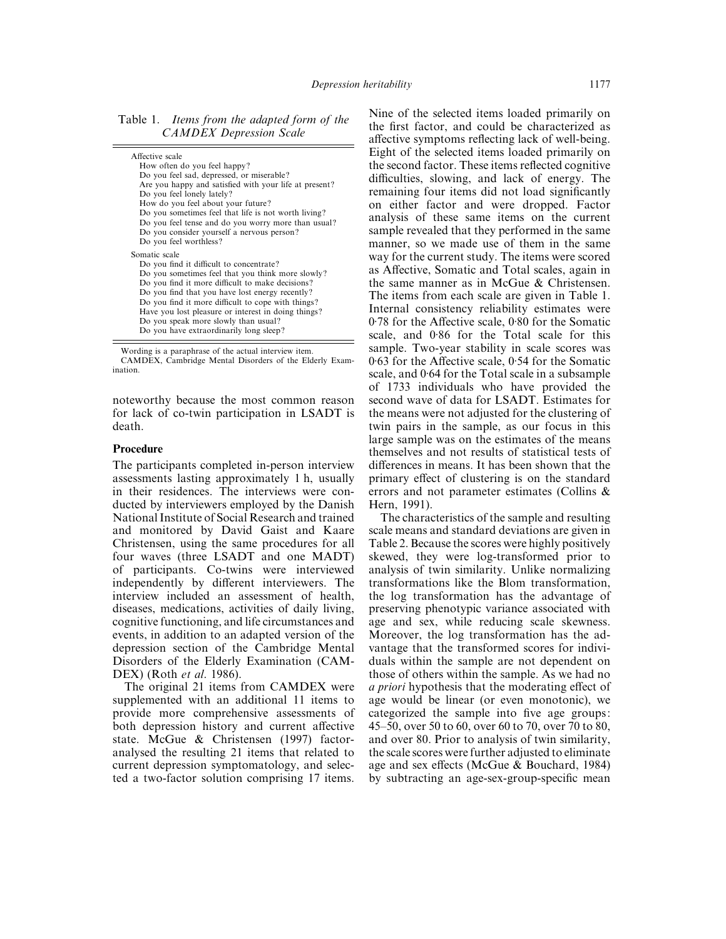Table 1. *Items from the adapted form of the CAMDEX Depression Scale*

| Affective scale<br>How often do you feel happy?<br>Do you feel sad, depressed, or miserable?<br>Are you happy and satisfied with your life at present?<br>Do you feel lonely lately?<br>How do you feel about your future?<br>Do you sometimes feel that life is not worth living?<br>Do you feel tense and do you worry more than usual?<br>Do you consider yourself a nervous person?<br>Do you feel worthless?     |
|-----------------------------------------------------------------------------------------------------------------------------------------------------------------------------------------------------------------------------------------------------------------------------------------------------------------------------------------------------------------------------------------------------------------------|
| Somatic scale<br>Do you find it difficult to concentrate?<br>Do you sometimes feel that you think more slowly?<br>Do you find it more difficult to make decisions?<br>Do you find that you have lost energy recently?<br>Do you find it more difficult to cope with things?<br>Have you lost pleasure or interest in doing things?<br>Do you speak more slowly than usual?<br>Do you have extraordinarily long sleep? |
|                                                                                                                                                                                                                                                                                                                                                                                                                       |

Wording is a paraphrase of the actual interview item. CAMDEX, Cambridge Mental Disorders of the Elderly Examination.

noteworthy because the most common reason for lack of co-twin participation in LSADT is death.

## **Procedure**

The participants completed in-person interview assessments lasting approximately 1 h, usually in their residences. The interviews were conducted by interviewers employed by the Danish National Institute of Social Research and trained and monitored by David Gaist and Kaare Christensen, using the same procedures for all four waves (three LSADT and one MADT) of participants. Co-twins were interviewed independently by different interviewers. The interview included an assessment of health, diseases, medications, activities of daily living, cognitive functioning, and life circumstances and events, in addition to an adapted version of the depression section of the Cambridge Mental Disorders of the Elderly Examination (CAM-DEX) (Roth *et al*. 1986).

The original 21 items from CAMDEX were supplemented with an additional 11 items to provide more comprehensive assessments of both depression history and current affective state. McGue & Christensen (1997) factoranalysed the resulting 21 items that related to current depression symptomatology, and selected a two-factor solution comprising 17 items.

Nine of the selected items loaded primarily on the first factor, and could be characterized as affective symptoms reflecting lack of well-being. Eight of the selected items loaded primarily on the second factor. These items reflected cognitive difficulties, slowing, and lack of energy. The remaining four items did not load significantly on either factor and were dropped. Factor analysis of these same items on the current sample revealed that they performed in the same manner, so we made use of them in the same way for the current study. The items were scored as Affective, Somatic and Total scales, again in the same manner as in McGue & Christensen. The items from each scale are given in Table 1. Internal consistency reliability estimates were  $0.78$  for the Affective scale,  $0.80$  for the Somatic scale, and 0.86 for the Total scale for this sample. Two-year stability in scale scores was 0.63 for the Affective scale, 0.54 for the Somatic scale, and 0.64 for the Total scale in a subsample of 1733 individuals who have provided the second wave of data for LSADT. Estimates for the means were not adjusted for the clustering of twin pairs in the sample, as our focus in this large sample was on the estimates of the means themselves and not results of statistical tests of differences in means. It has been shown that the primary effect of clustering is on the standard errors and not parameter estimates (Collins & Hern, 1991).

The characteristics of the sample and resulting scale means and standard deviations are given in Table 2. Because the scores were highly positively skewed, they were log-transformed prior to analysis of twin similarity. Unlike normalizing transformations like the Blom transformation, the log transformation has the advantage of preserving phenotypic variance associated with age and sex, while reducing scale skewness. Moreover, the log transformation has the advantage that the transformed scores for individuals within the sample are not dependent on those of others within the sample. As we had no *a priori* hypothesis that the moderating effect of age would be linear (or even monotonic), we categorized the sample into five age groups: 45–50, over 50 to 60, over 60 to 70, over 70 to 80, and over 80. Prior to analysis of twin similarity, the scale scores were further adjusted to eliminate age and sex effects (McGue & Bouchard, 1984) by subtracting an age-sex-group-specific mean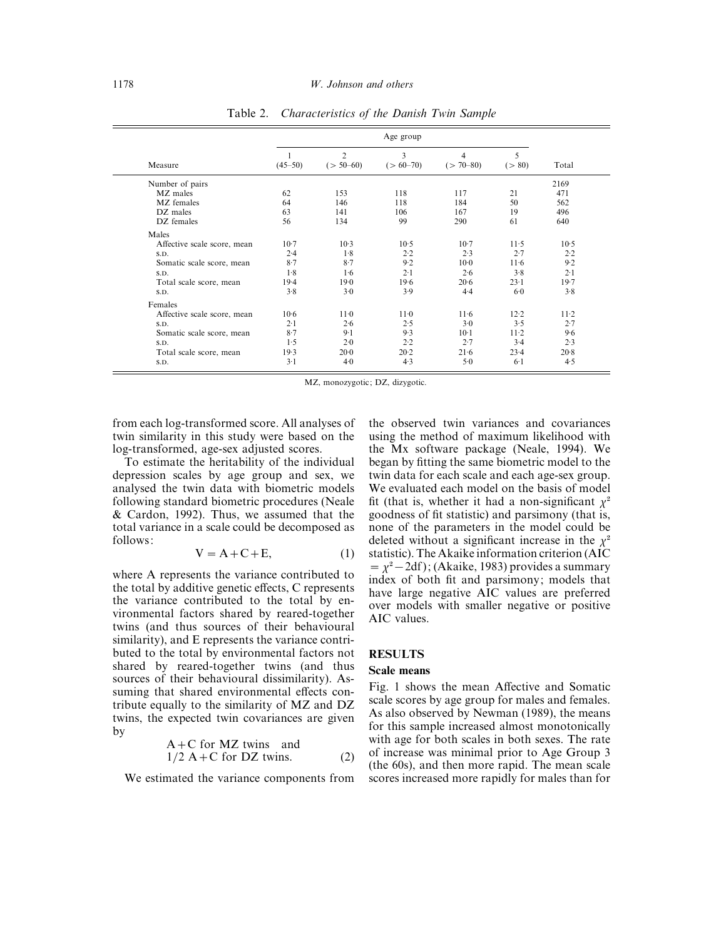|                             | Age group   |                               |                 |                    |              |         |
|-----------------------------|-------------|-------------------------------|-----------------|--------------------|--------------|---------|
| Measure                     | $(45 - 50)$ | $\overline{2}$<br>$(> 50-60)$ | 3<br>$(>60-70)$ | 4<br>$(> 70 - 80)$ | 5<br>( > 80) | Total   |
| Number of pairs             |             |                               |                 |                    |              | 2169    |
| MZ males                    | 62          | 153                           | 118             | 117                | 21           | 471     |
| MZ females                  | 64          | 146                           | 118             | 184                | 50           | 562     |
| DZ males                    | 63          | 141                           | 106             | 167                | 19           | 496     |
| DZ females                  | 56          | 134                           | 99              | 290                | 61           | 640     |
| Males                       |             |                               |                 |                    |              |         |
| Affective scale score, mean | $10-7$      | $10-3$                        | $10-5$          | $10-7$             | $11-5$       | $10-5$  |
| S.D.                        | 2.4         | 1.8                           | 2.2             | 2.3                | 2.7          | 2.2     |
| Somatic scale score, mean   | $8-7$       | $8-7$                         | 9.2             | $10-0$             | $11-6$       | 9.2     |
| S.D.                        | 1.8         | 1.6                           | 2.1             | 2.6                | 3.8          | $2 - 1$ |
| Total scale score, mean     | $19-4$      | 19.0                          | 19.6            | 20.6               | 23.1         | 19.7    |
| S.D.                        | 3.8         | 3.0                           | 3.9             | 4.4                | 6.0          | 3.8     |
| Females                     |             |                               |                 |                    |              |         |
| Affective scale score, mean | $10-6$      | 11 <sub>0</sub>               | $11-0$          | $11-6$             | 12.2         | $11-2$  |
| S.D.                        | 2.1         | 2.6                           | 2.5             | $3-0$              | 3.5          | 2.7     |
| Somatic scale score, mean   | 8.7         | $9-1$                         | 9.3             | $10-1$             | $11-2$       | 9.6     |
| S.D.                        | 1.5         | 2.0                           | 2.2             | 2.7                | 3.4          | 2.3     |
| Total scale score, mean     | 19.3        | $20 - 0$                      | 20.2            | 21.6               | 23.4         | 20.8    |
| S.D.                        | $3-1$       | $4-0$                         | 4.3             | $5-0$              | 6.1          | 4.5     |

Table 2. *Characteristics of the Danish Twin Sample*

MZ, monozygotic; DZ, dizygotic.

from each log-transformed score. All analyses of twin similarity in this study were based on the log-transformed, age-sex adjusted scores.

To estimate the heritability of the individual depression scales by age group and sex, we analysed the twin data with biometric models following standard biometric procedures (Neale & Cardon, 1992). Thus, we assumed that the total variance in a scale could be decomposed as follows:

$$
V = A + C + E, \tag{1}
$$

where A represents the variance contributed to the total by additive genetic effects, C represents the variance contributed to the total by environmental factors shared by reared-together twins (and thus sources of their behavioural similarity), and E represents the variance contributed to the total by environmental factors not shared by reared-together twins (and thus sources of their behavioural dissimilarity). Assuming that shared environmental effects contribute equally to the similarity of MZ and DZ twins, the expected twin covariances are given by

$$
A + C \text{ for } MZ \text{ twins} \text{ and} 1/2 A + C \text{ for } DZ \text{ twins.}
$$
 (2)

We estimated the variance components from

the observed twin variances and covariances using the method of maximum likelihood with the Mx software package (Neale, 1994). We began by fitting the same biometric model to the twin data for each scale and each age-sex group. We evaluated each model on the basis of model fit (that is, whether it had a non-significant  $\chi^2$ goodness of fit statistic) and parsimony (that is, none of the parameters in the model could be deleted without a significant increase in the  $\chi^2$ statistic). The Akaike information criterion (AIC  $=\chi^2-2df$  ); (Akaike, 1983) provides a summary index of both fit and parsimony; models that have large negative AIC values are preferred over models with smaller negative or positive AIC values.

#### **RESULTS**

## **Scale means**

Fig. 1 shows the mean Affective and Somatic scale scores by age group for males and females. As also observed by Newman (1989), the means for this sample increased almost monotonically with age for both scales in both sexes. The rate of increase was minimal prior to Age Group 3 (the 60s), and then more rapid. The mean scale scores increased more rapidly for males than for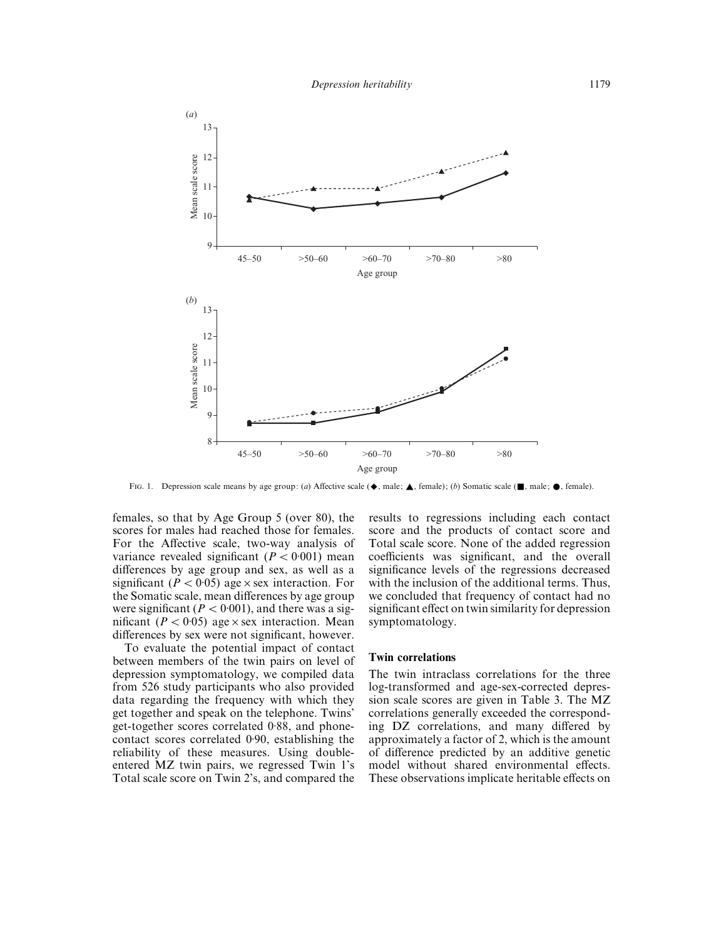

FIG. 1. Depression scale means by age group: (*a*) Affective scale ( $\blacklozenge$ , male;  $\blacktriangle$ , female); (*b*) Somatic scale ( $\blacksquare$ , male;  $\lozenge$ , female).

females, so that by Age Group 5 (over 80), the scores for males had reached those for females. For the Affective scale, two-way analysis of variance revealed significant  $(P < 0.001)$  mean differences by age group and sex, as well as a significant ( $P < 0.05$ ) age  $\times$  sex interaction. For the Somatic scale, mean differences by age group were significant ( $P < 0.001$ ), and there was a significant ( $P < 0.05$ ) age  $\times$  sex interaction. Mean differences by sex were not significant, however.

To evaluate the potential impact of contact between members of the twin pairs on level of depression symptomatology, we compiled data from 526 study participants who also provided data regarding the frequency with which they get together and speak on the telephone. Twins' get-together scores correlated 0±88, and phonecontact scores correlated 0.90, establishing the reliability of these measures. Using doubleentered MZ twin pairs, we regressed Twin 1's Total scale score on Twin 2's, and compared the results to regressions including each contact score and the products of contact score and Total scale score. None of the added regression coefficients was significant, and the overall significance levels of the regressions decreased with the inclusion of the additional terms. Thus, we concluded that frequency of contact had no significant effect on twin similarity for depression symptomatology.

#### **Twin correlations**

The twin intraclass correlations for the three log-transformed and age-sex-corrected depression scale scores are given in Table 3. The MZ correlations generally exceeded the corresponding DZ correlations, and many differed by approximately a factor of 2, which is the amount of difference predicted by an additive genetic model without shared environmental effects. These observations implicate heritable effects on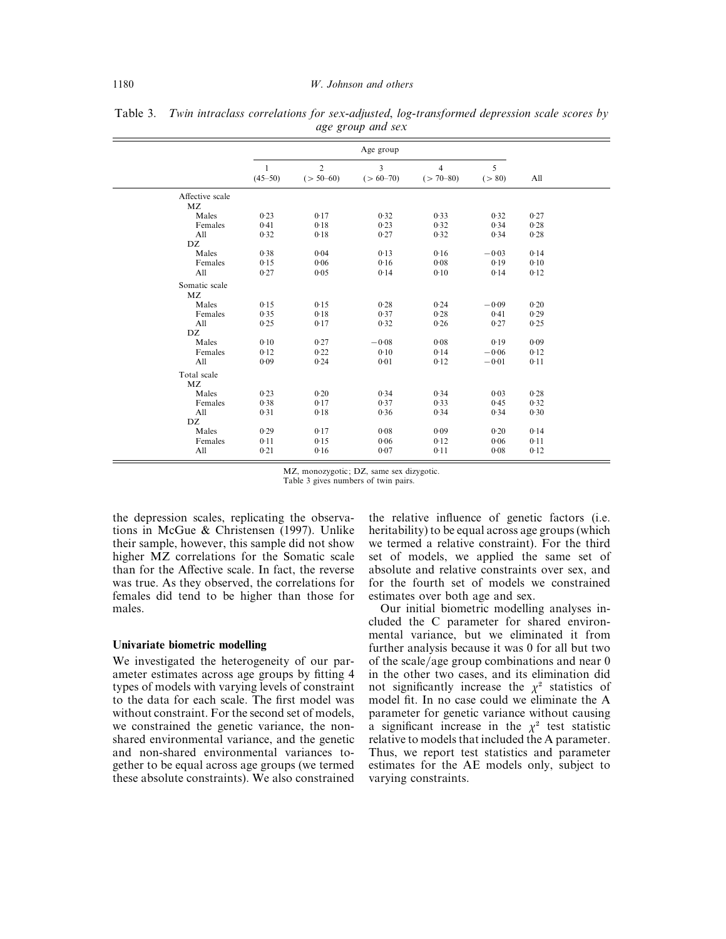|                       | Age group                     |                               |                              |                                 |              |      |
|-----------------------|-------------------------------|-------------------------------|------------------------------|---------------------------------|--------------|------|
|                       | $\overline{1}$<br>$(45 - 50)$ | $\overline{2}$<br>$(> 50-60)$ | $\overline{3}$<br>$(>60-70)$ | $\overline{4}$<br>$(> 70 - 80)$ | 5<br>( > 80) | All  |
| Affective scale<br>MZ |                               |                               |                              |                                 |              |      |
| Males                 | 0.23                          | 0.17                          | 0.32                         | 0.33                            | 0.32         | 0.27 |
| Females               | 0.41                          | 0.18                          | 0.23                         | 0.32                            | 0.34         | 0.28 |
| All<br>DZ             | 0.32                          | 0.18                          | 0.27                         | 0.32                            | 0.34         | 0.28 |
| Males                 | 0.38                          | 0.04                          | 0.13                         | 0.16                            | $-0.03$      | 0.14 |
| Females               | 0.15                          | 0.06                          | 0.16                         | 0.08                            | 0.19         | 0.10 |
| All                   | 0.27                          | 0.05                          | 0.14                         | 0.10                            | 0.14         | 0.12 |
| Somatic scale<br>MZ   |                               |                               |                              |                                 |              |      |
| Males                 | 0.15                          | 0.15                          | 0.28                         | 0.24                            | $-0.09$      | 0.20 |
| Females               | 0.35                          | 0.18                          | 0.37                         | 0.28                            | 0.41         | 0.29 |
| All<br>DZ             | 0.25                          | 0.17                          | 0.32                         | 0.26                            | 0.27         | 0.25 |
| Males                 | 0.10                          | 0.27                          | $-0.08$                      | 0.08                            | 0.19         | 0.09 |
| Females               | 0.12                          | 0.22                          | 0.10                         | 0.14                            | $-0.06$      | 0.12 |
| All                   | 0.09                          | 0.24                          | 0.01                         | 0.12                            | $-0.01$      | 0.11 |
| Total scale<br>MZ     |                               |                               |                              |                                 |              |      |
| Males                 | 0.23                          | 0.20                          | 0.34                         | 0.34                            | 0.03         | 0.28 |
| Females               | 0.38                          | 0.17                          | 0.37                         | 0.33                            | 0.45         | 0.32 |
| All                   | 0.31                          | 0.18                          | 0.36                         | 0.34                            | 0.34         | 0.30 |
| DZ                    |                               |                               |                              |                                 |              |      |
| Males                 | 0.29                          | 0.17                          | 0.08                         | 0.09                            | 0.20         | 0.14 |
| Females               | 0.11                          | 0.15                          | 0.06                         | 0.12                            | 0.06         | 0.11 |
| All                   | 0.21                          | 0.16                          | 0.07                         | 0.11                            | 0.08         | 0.12 |

Table 3. *Twin intraclass correlations for sex*-*adjusted*, *log*-*transformed depression scale scores by age group and sex*

MZ, monozygotic; DZ, same sex dizygotic. Table 3 gives numbers of twin pairs.

the depression scales, replicating the observations in McGue & Christensen (1997). Unlike their sample, however, this sample did not show higher MZ correlations for the Somatic scale than for the Affective scale. In fact, the reverse was true. As they observed, the correlations for females did tend to be higher than those for males.

#### **Univariate biometric modelling**

We investigated the heterogeneity of our parameter estimates across age groups by fitting 4 types of models with varying levels of constraint to the data for each scale. The first model was without constraint. For the second set of models, we constrained the genetic variance, the nonshared environmental variance, and the genetic and non-shared environmental variances together to be equal across age groups (we termed these absolute constraints). We also constrained

the relative influence of genetic factors (i.e. heritability) to be equal across age groups (which we termed a relative constraint). For the third set of models, we applied the same set of absolute and relative constraints over sex, and for the fourth set of models we constrained estimates over both age and sex.

Our initial biometric modelling analyses included the C parameter for shared environmental variance, but we eliminated it from further analysis because it was 0 for all but two of the scale/age group combinations and near  $0$ in the other two cases, and its elimination did not significantly increase the  $\chi^2$  statistics of model fit. In no case could we eliminate the A parameter for genetic variance without causing a significant increase in the  $\chi^2$  test statistic relative to models that included the A parameter. Thus, we report test statistics and parameter estimates for the AE models only, subject to varying constraints.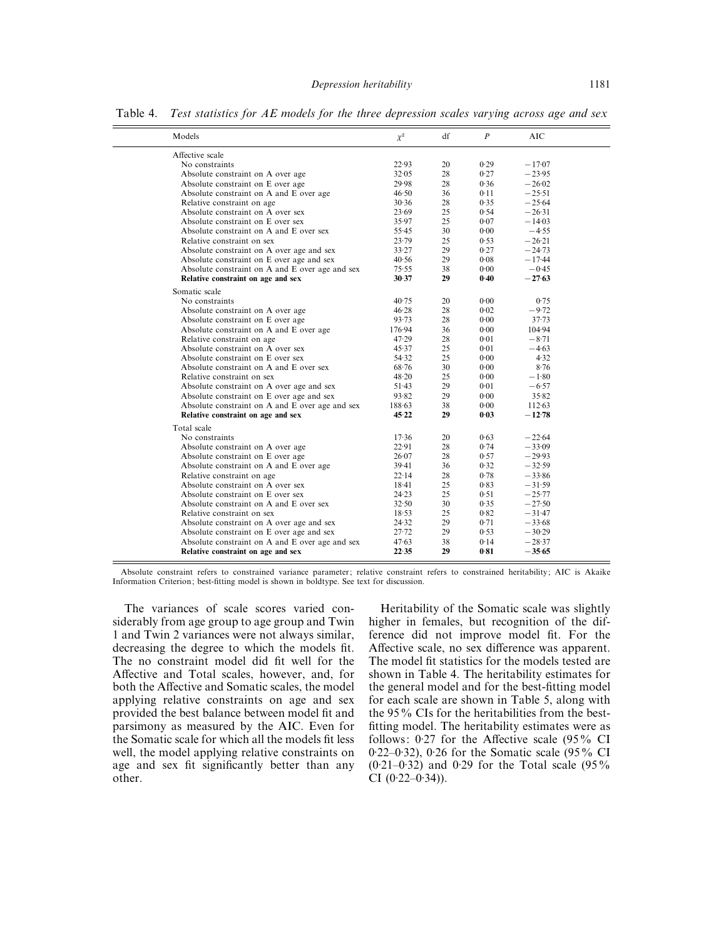| Models                                          | $\chi^2$  | df | $\boldsymbol{P}$ | <b>AIC</b> |  |
|-------------------------------------------------|-----------|----|------------------|------------|--|
| Affective scale                                 |           |    |                  |            |  |
| No constraints                                  | 22.93     | 20 | 0.29             | $-17.07$   |  |
| Absolute constraint on A over age               | 32.05     | 28 | 0.27             | $-23.95$   |  |
| Absolute constraint on E over age               | 29.98     | 28 | 0.36             | $-26.02$   |  |
| Absolute constraint on A and E over age         | 46.50     | 36 | 0.11             | $-25.51$   |  |
| Relative constraint on age                      | 30.36     | 28 | 0.35             | $-25.64$   |  |
| Absolute constraint on A over sex               | 23.69     | 25 | 0.54             | $-26.31$   |  |
| Absolute constraint on E over sex               | 35.97     | 25 | 0.07             | $-14.03$   |  |
| Absolute constraint on A and E over sex         | 55.45     | 30 | 0.00             | $-4.55$    |  |
| Relative constraint on sex                      | 23.79     | 25 | 0.53             | $-26.21$   |  |
| Absolute constraint on A over age and sex       | 33.27     | 29 | 0.27             | $-24.73$   |  |
| Absolute constraint on E over age and sex       | 40.56     | 29 | 0.08             | $-17.44$   |  |
| Absolute constraint on A and E over age and sex | 75.55     | 38 | 0.00             | $-0.45$    |  |
| Relative constraint on age and sex              | 30.37     | 29 | 0.40             | $-27.63$   |  |
| Somatic scale                                   |           |    |                  |            |  |
| No constraints                                  | 40.75     | 20 | 0.00             | 0.75       |  |
| Absolute constraint on A over age               | 46.28     | 28 | 0.02             | $-9.72$    |  |
| Absolute constraint on E over age               | 93.73     | 28 | 0.00             | $37 - 73$  |  |
| Absolute constraint on A and E over age         | 176.94    | 36 | 0.00             | 104.94     |  |
| Relative constraint on age                      | 47.29     | 28 | 0.01             | $-8.71$    |  |
| Absolute constraint on A over sex               | 45.37     | 25 | 0.01             | $-4.63$    |  |
| Absolute constraint on E over sex               | 54.32     | 25 | 0.00             | 4.32       |  |
| Absolute constraint on A and E over sex         | 68.76     | 30 | 0.00             | 8.76       |  |
| Relative constraint on sex                      | 48.20     | 25 | 0.00             | $-1.80$    |  |
| Absolute constraint on A over age and sex       | 51.43     | 29 | 0.01             | $-6.57$    |  |
| Absolute constraint on E over age and sex       | 93.82     | 29 | 0.00             | 35.82      |  |
| Absolute constraint on A and E over age and sex | 188.63    | 38 | 0.00             | 112.63     |  |
| Relative constraint on age and sex              | 45.22     | 29 | 0.03             | $-12.78$   |  |
| Total scale                                     |           |    |                  |            |  |
| No constraints                                  | 17.36     | 20 | 0.63             | $-22.64$   |  |
| Absolute constraint on A over age               | 22.91     | 28 | 0.74             | $-33.09$   |  |
| Absolute constraint on E over age               | 26.07     | 28 | 0.57             | $-29.93$   |  |
| Absolute constraint on A and E over age         | 39.41     | 36 | 0.32             | $-32.59$   |  |
| Relative constraint on age                      | 22.14     | 28 | 0.78             | $-33.86$   |  |
| Absolute constraint on A over sex               | $18 - 41$ | 25 | 0.83             | $-31.59$   |  |
| Absolute constraint on E over sex               | 24.23     | 25 | 0.51             | $-25.77$   |  |
| Absolute constraint on A and E over sex         | 32.50     | 30 | 0.35             | $-27.50$   |  |
| Relative constraint on sex                      | 18.53     | 25 | 0.82             | $-31.47$   |  |
| Absolute constraint on A over age and sex       | 24.32     | 29 | 0.71             | $-33.68$   |  |
| Absolute constraint on E over age and sex       | $27 - 72$ | 29 | 0.53             | $-30.29$   |  |
| Absolute constraint on A and E over age and sex | 47.63     | 38 | 0.14             | $-28.37$   |  |
| Relative constraint on age and sex              | 22.35     | 29 | 0.81             | $-35.65$   |  |

Table 4. *Test statistics for AE models for the three depression scales varying across age and sex*

Absolute constraint refers to constrained variance parameter; relative constraint refers to constrained heritability; AIC is Akaike Information Criterion; best-fitting model is shown in boldtype. See text for discussion.

The variances of scale scores varied considerably from age group to age group and Twin 1 and Twin 2 variances were not always similar, decreasing the degree to which the models fit. The no constraint model did fit well for the Affective and Total scales, however, and, for both the Affective and Somatic scales, the model applying relative constraints on age and sex provided the best balance between model fit and parsimony as measured by the AIC. Even for the Somatic scale for which all the models fit less well, the model applying relative constraints on age and sex fit significantly better than any other.

Heritability of the Somatic scale was slightly higher in females, but recognition of the difference did not improve model fit. For the Affective scale, no sex difference was apparent. The model fit statistics for the models tested are shown in Table 4. The heritability estimates for the general model and for the best-fitting model for each scale are shown in Table 5, along with the 95% CIs for the heritabilities from the bestfitting model. The heritability estimates were as follows:  $0.27$  for the Affective scale (95% CI 0.22–0.32), 0.26 for the Somatic scale (95% CI  $(0.21-0.32)$  and 0.29 for the Total scale  $(95\%$ CI  $(0.22 - 0.34)$ ).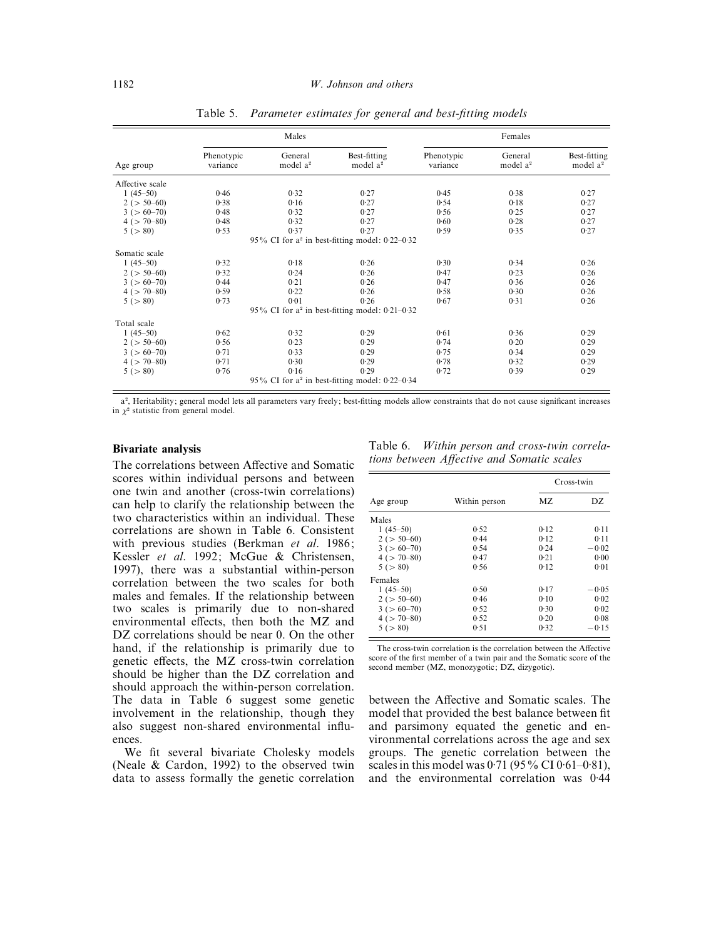|                 |                        | Males                           |                                                     | Females                |                                 |                                      |  |
|-----------------|------------------------|---------------------------------|-----------------------------------------------------|------------------------|---------------------------------|--------------------------------------|--|
| Age group       | Phenotypic<br>variance | General<br>model a <sup>2</sup> | Best-fitting<br>model a <sup>2</sup>                | Phenotypic<br>variance | General<br>model a <sup>2</sup> | Best-fitting<br>model a <sup>2</sup> |  |
| Affective scale |                        |                                 |                                                     |                        |                                 |                                      |  |
| $1(45-50)$      | 0.46                   | 0.32                            | 0.27                                                | 0.45                   | 0.38                            | 0.27                                 |  |
| $2 (> 50-60)$   | 0.38                   | 0.16                            | 0.27                                                | 0.54                   | 0.18                            | 0.27                                 |  |
| $3 (> 60-70)$   | 0.48                   | 0.32                            | 0.27                                                | 0.56                   | 0.25                            | 0.27                                 |  |
| $4 (> 70-80)$   | 0.48                   | 0.32                            | 0.27                                                | 0.60                   | 0.28                            | 0.27                                 |  |
| 5 (> 80)        | 0.53                   | 0.37                            | 0.27                                                | 0.59                   | 0.35                            | 0.27                                 |  |
|                 |                        |                                 | 95% CI for $a^2$ in best-fitting model: $0.22-0.32$ |                        |                                 |                                      |  |
| Somatic scale   |                        |                                 |                                                     |                        |                                 |                                      |  |
| $1(45-50)$      | 0.32                   | 0.18                            | 0.26                                                | 0.30                   | 0.34                            | 0.26                                 |  |
| $2 (> 50-60)$   | 0.32                   | 0.24                            | 0.26                                                | 0.47                   | 0.23                            | 0.26                                 |  |
| $3 (> 60-70)$   | 0.44                   | 0.21                            | 0.26                                                | 0.47                   | 0.36                            | 0.26                                 |  |
| $4 (> 70-80)$   | 0.59                   | 0.22                            | 0.26                                                | 0.58                   | 0.30                            | 0.26                                 |  |
| 5 (> 80)        | 0.73                   | 0.01                            | 0.26                                                | 0.67                   | 0.31                            | 0.26                                 |  |
|                 |                        |                                 | 95% CI for $a^2$ in best-fitting model: 0.21–0.32   |                        |                                 |                                      |  |
| Total scale     |                        |                                 |                                                     |                        |                                 |                                      |  |
| $1(45-50)$      | 0.62                   | 0.32                            | 0.29                                                | 0.61                   | 0.36                            | 0.29                                 |  |
| $2 (> 50-60)$   | 0.56                   | 0.23                            | 0.29                                                | 0.74                   | 0.20                            | 0.29                                 |  |
| $3 (> 60-70)$   | 0.71                   | 0.33                            | 0.29                                                | 0.75                   | 0.34                            | 0.29                                 |  |
| $4 (> 70-80)$   | 0.71                   | 0.30                            | 0.29                                                | 0.78                   | 0.32                            | 0.29                                 |  |
| 5 (> 80)        | 0.76                   | 0.16                            | 0.29                                                | 0.72                   | 0.39                            | 0.29                                 |  |
|                 |                        |                                 | 95% CI for $a^2$ in best-fitting model: $0.22-0.34$ |                        |                                 |                                      |  |

Table 5. *Parameter estimates for general and best*-*fitting models*

a<sup>2</sup>, Heritability; general model lets all parameters vary freely; best-fitting models allow constraints that do not cause significant increases in  $\chi^2$  statistic from general model.

## **Bivariate analysis**

The correlations between Affective and Somatic scores within individual persons and between one twin and another (cross-twin correlations) can help to clarify the relationship between the two characteristics within an individual. These correlations are shown in Table 6. Consistent with previous studies (Berkman *et al*. 1986; Kessler *et al*. 1992; McGue & Christensen, 1997), there was a substantial within-person correlation between the two scales for both males and females. If the relationship between two scales is primarily due to non-shared environmental effects, then both the MZ and DZ correlations should be near 0. On the other hand, if the relationship is primarily due to genetic effects, the MZ cross-twin correlation should be higher than the DZ correlation and should approach the within-person correlation. The data in Table 6 suggest some genetic involvement in the relationship, though they also suggest non-shared environmental influences.

We fit several bivariate Cholesky models (Neale & Cardon, 1992) to the observed twin data to assess formally the genetic correlation

Table 6. *Within person and cross*-*twin correlations between Affective and Somatic scales*

|                     |               | Cross-twin |         |  |
|---------------------|---------------|------------|---------|--|
| Age group           | Within person | MZ.        | DZ.     |  |
| Males               |               |            |         |  |
| $1(45-50)$          | 0.52          | 0.12       | 0.11    |  |
| $2 (> 50-60)$       | 0.44          | 0.12       | 0.11    |  |
| $3 (> 60-70)$       | 0.54          | 0.24       | $-0.02$ |  |
| $4$ ( $> 70 - 80$ ) | 0.47          | 0.21       | 0.00    |  |
| 5(>80)              | 0.56          | 0.12       | 0.01    |  |
| Females             |               |            |         |  |
| $1(45-50)$          | 0.50          | 0.17       | $-0.05$ |  |
| $2 (> 50-60)$       | 0.46          | 0.10       | 0.02    |  |
| $3 (> 60-70)$       | 0.52          | 0.30       | 0.02    |  |
| $4 (> 70-80)$       | 0.52          | 0.20       | 0.08    |  |
| 5 (> 80)            | 0.51          | 0.32       | $-0.15$ |  |

The cross-twin correlation is the correlation between the Affective score of the first member of a twin pair and the Somatic score of the second member (MZ, monozygotic; DZ, dizygotic).

between the Affective and Somatic scales. The model that provided the best balance between fit and parsimony equated the genetic and environmental correlations across the age and sex groups. The genetic correlation between the scales in this model was  $0.71 (95\% \text{ CI } 0.61 - 0.81)$ , and the environmental correlation was 0±44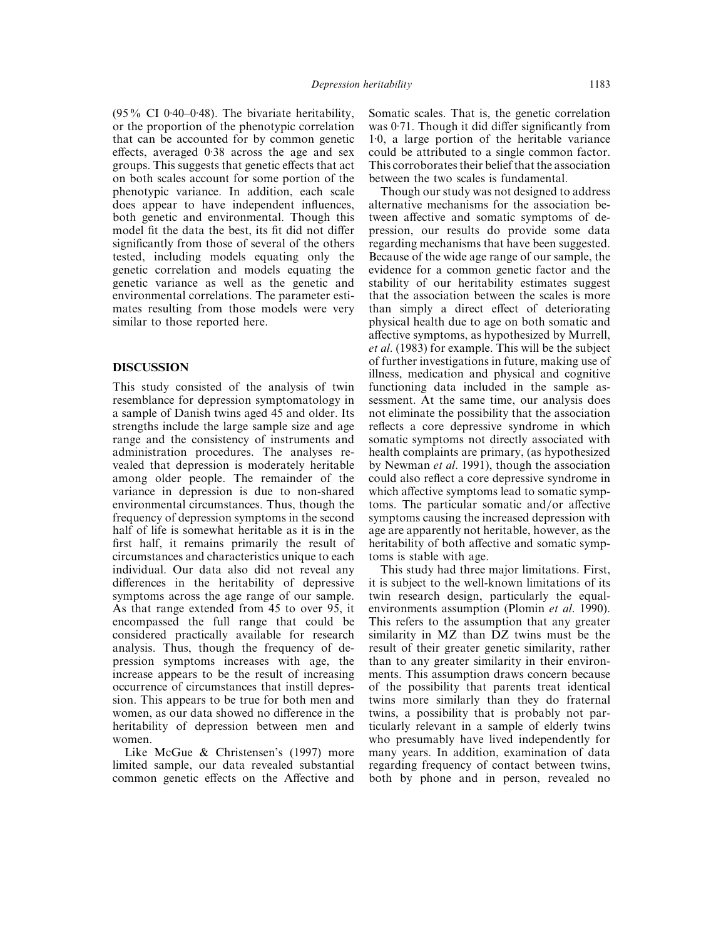$(95\% \text{ CI } 0.40-0.48)$ . The bivariate heritability, or the proportion of the phenotypic correlation that can be accounted for by common genetic effects, averaged 0.38 across the age and sex groups. This suggests that genetic effects that act on both scales account for some portion of the phenotypic variance. In addition, each scale does appear to have independent influences, both genetic and environmental. Though this model fit the data the best, its fit did not differ significantly from those of several of the others tested, including models equating only the genetic correlation and models equating the genetic variance as well as the genetic and environmental correlations. The parameter estimates resulting from those models were very similar to those reported here.

## **DISCUSSION**

This study consisted of the analysis of twin resemblance for depression symptomatology in a sample of Danish twins aged 45 and older. Its strengths include the large sample size and age range and the consistency of instruments and administration procedures. The analyses revealed that depression is moderately heritable among older people. The remainder of the variance in depression is due to non-shared environmental circumstances. Thus, though the frequency of depression symptoms in the second half of life is somewhat heritable as it is in the first half, it remains primarily the result of circumstances and characteristics unique to each individual. Our data also did not reveal any differences in the heritability of depressive symptoms across the age range of our sample. As that range extended from 45 to over 95, it encompassed the full range that could be considered practically available for research analysis. Thus, though the frequency of depression symptoms increases with age, the increase appears to be the result of increasing occurrence of circumstances that instill depression. This appears to be true for both men and women, as our data showed no difference in the heritability of depression between men and women.

Like McGue & Christensen's (1997) more limited sample, our data revealed substantial common genetic effects on the Affective and Somatic scales. That is, the genetic correlation was 0.71. Though it did differ significantly from 1±0, a large portion of the heritable variance could be attributed to a single common factor. This corroborates their belief that the association between the two scales is fundamental.

Though our study was not designed to address alternative mechanisms for the association between affective and somatic symptoms of depression, our results do provide some data regarding mechanisms that have been suggested. Because of the wide age range of our sample, the evidence for a common genetic factor and the stability of our heritability estimates suggest that the association between the scales is more than simply a direct effect of deteriorating physical health due to age on both somatic and affective symptoms, as hypothesized by Murrell, *et al*. (1983) for example. This will be the subject of further investigations in future, making use of illness, medication and physical and cognitive functioning data included in the sample assessment. At the same time, our analysis does not eliminate the possibility that the association reflects a core depressive syndrome in which somatic symptoms not directly associated with health complaints are primary, (as hypothesized by Newman *et al*. 1991), though the association could also reflect a core depressive syndrome in which affective symptoms lead to somatic symptoms. The particular somatic and/or affective symptoms causing the increased depression with age are apparently not heritable, however, as the heritability of both affective and somatic symptoms is stable with age.

This study had three major limitations. First, it is subject to the well-known limitations of its twin research design, particularly the equalenvironments assumption (Plomin *et al*. 1990). This refers to the assumption that any greater similarity in MZ than DZ twins must be the result of their greater genetic similarity, rather than to any greater similarity in their environments. This assumption draws concern because of the possibility that parents treat identical twins more similarly than they do fraternal twins, a possibility that is probably not particularly relevant in a sample of elderly twins who presumably have lived independently for many years. In addition, examination of data regarding frequency of contact between twins, both by phone and in person, revealed no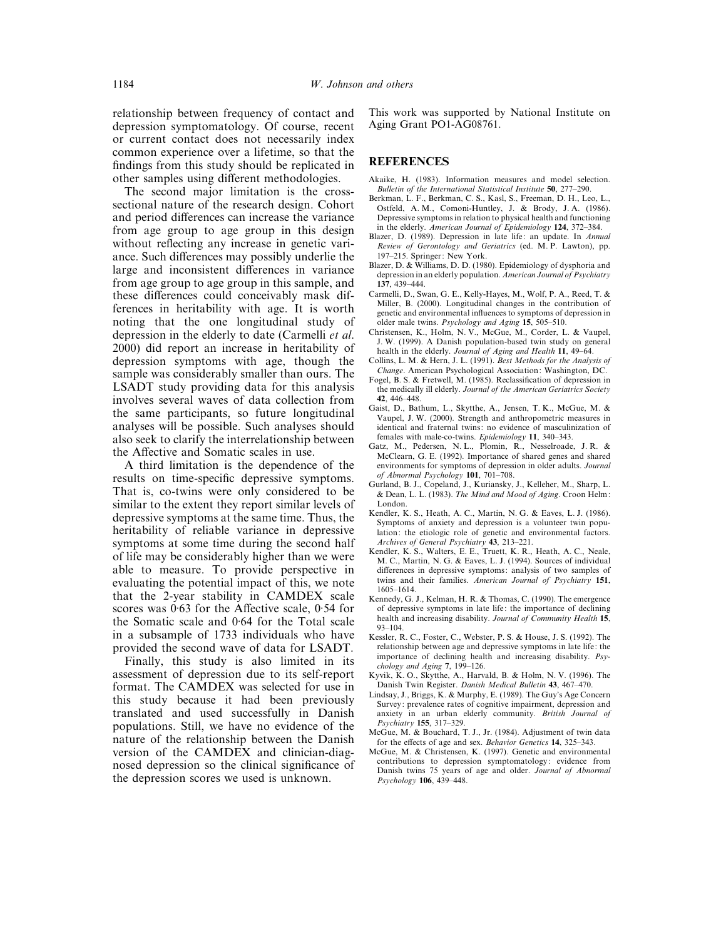relationship between frequency of contact and depression symptomatology. Of course, recent or current contact does not necessarily index common experience over a lifetime, so that the findings from this study should be replicated in other samples using different methodologies.

The second major limitation is the crosssectional nature of the research design. Cohort and period differences can increase the variance from age group to age group in this design without reflecting any increase in genetic variance. Such differences may possibly underlie the large and inconsistent differences in variance from age group to age group in this sample, and these differences could conceivably mask differences in heritability with age. It is worth noting that the one longitudinal study of depression in the elderly to date (Carmelli *et al*. 2000) did report an increase in heritability of depression symptoms with age, though the sample was considerably smaller than ours. The LSADT study providing data for this analysis involves several waves of data collection from the same participants, so future longitudinal analyses will be possible. Such analyses should also seek to clarify the interrelationship between the Affective and Somatic scales in use.

A third limitation is the dependence of the results on time-specific depressive symptoms. That is, co-twins were only considered to be similar to the extent they report similar levels of depressive symptoms at the same time. Thus, the heritability of reliable variance in depressive symptoms at some time during the second half of life may be considerably higher than we were able to measure. To provide perspective in evaluating the potential impact of this, we note that the 2-year stability in CAMDEX scale scores was 0.63 for the Affective scale, 0.54 for the Somatic scale and  $0.64$  for the Total scale in a subsample of 1733 individuals who have provided the second wave of data for LSADT.

Finally, this study is also limited in its assessment of depression due to its self-report format. The CAMDEX was selected for use in this study because it had been previously translated and used successfully in Danish populations. Still, we have no evidence of the nature of the relationship between the Danish version of the CAMDEX and clinician-diagnosed depression so the clinical significance of the depression scores we used is unknown.

This work was supported by National Institute on Aging Grant PO1-AG08761.

#### **REFERENCES**

- Akaike, H. (1983). Information measures and model selection. *Bulletin of the International Statistical Institute* **50**, 277–290.
- Berkman, L. F., Berkman, C. S., Kasl, S., Freeman, D. H., Leo, L., Ostfeld, A. M., Comoni-Huntley, J. & Brody, J. A. (1986). Depressive symptoms in relation to physical health and functioning in the elderly. *American Journal of Epidemiology* **124**, 372–384.
- Blazer, D. (1989). Depression in late life: an update. In *Annual Review of Gerontology and Geriatrics* (ed. M. P. Lawton), pp. 197–215. Springer: New York.
- Blazer, D. & Williams, D. D. (1980). Epidemiology of dysphoria and depression in an elderly population. *American Journal of Psychiatry* **137**, 439–444.
- Carmelli, D., Swan, G. E., Kelly-Hayes, M., Wolf, P. A., Reed, T. & Miller, B. (2000). Longitudinal changes in the contribution of genetic and environmental influences to symptoms of depression in older male twins. *Psychology and Aging* **15**, 505–510.
- Christensen, K., Holm, N. V., McGue, M., Corder, L. & Vaupel, J. W. (1999). A Danish population-based twin study on general health in the elderly. *Journal of Aging and Health* **11**, 49–64.
- Collins, L. M. & Hern, J. L. (1991). *Best Methods for the Analysis of Change*. American Psychological Association: Washington, DC.
- Fogel, B. S. & Fretwell, M. (1985). Reclassification of depression in the medically ill elderly. *Journal of the American Geriatrics Society* **42**, 446–448.
- Gaist, D., Bathum, L., Skytthe, A., Jensen, T. K., McGue, M. & Vaupel, J. W. (2000). Strength and anthropometric measures in identical and fraternal twins: no evidence of masculinization of females with male-co-twins. *Epidemiology* **11**, 340–343.
- Gatz, M., Pedersen, N. L., Plomin, R., Nesselroade, J. R. & McClearn, G. E. (1992). Importance of shared genes and shared environments for symptoms of depression in older adults. *Journal of Abnormal Psychology* **101**, 701–708.
- Gurland, B. J., Copeland, J., Kuriansky, J., Kelleher, M., Sharp, L. & Dean, L. L. (1983). *The Mind and Mood of Aging*. Croon Helm: London.
- Kendler, K. S., Heath, A. C., Martin, N. G. & Eaves, L. J. (1986). Symptoms of anxiety and depression is a volunteer twin population: the etiologic role of genetic and environmental factors. *Archives of General Psychiatry* **43**, 213–221.
- Kendler, K. S., Walters, E. E., Truett, K. R., Heath, A. C., Neale, M. C., Martin, N. G. & Eaves, L. J. (1994). Sources of individual differences in depressive symptoms: analysis of two samples of twins and their families. *American Journal of Psychiatry* **151**, 1605–1614.
- Kennedy, G. J., Kelman, H. R. & Thomas, C. (1990). The emergence of depressive symptoms in late life: the importance of declining health and increasing disability. *Journal of Community Health* **15**, 93–104.
- Kessler, R. C., Foster, C., Webster, P. S. & House, J. S. (1992). The relationship between age and depressive symptoms in late life: the importance of declining health and increasing disability. *Psychology and Aging* **7**, 199–126.
- Kyvik, K. O., Skytthe, A., Harvald, B. & Holm, N. V. (1996). The Danish Twin Register. *Danish Medical Bulletin* **43**, 467–470.
- Lindsay, J., Briggs, K. & Murphy, E. (1989). The Guy's Age Concern Survey: prevalence rates of cognitive impairment, depression and anxiety in an urban elderly community. *British Journal of Psychiatry* **155**, 317–329.
- McGue, M. & Bouchard, T. J., Jr. (1984). Adjustment of twin data for the effects of age and sex. *Behavior Genetics* **14**, 325–343.
- McGue, M. & Christensen, K. (1997). Genetic and environmental contributions to depression symptomatology: evidence from Danish twins 75 years of age and older. *Journal of Abnormal Psychology* **106**, 439–448.